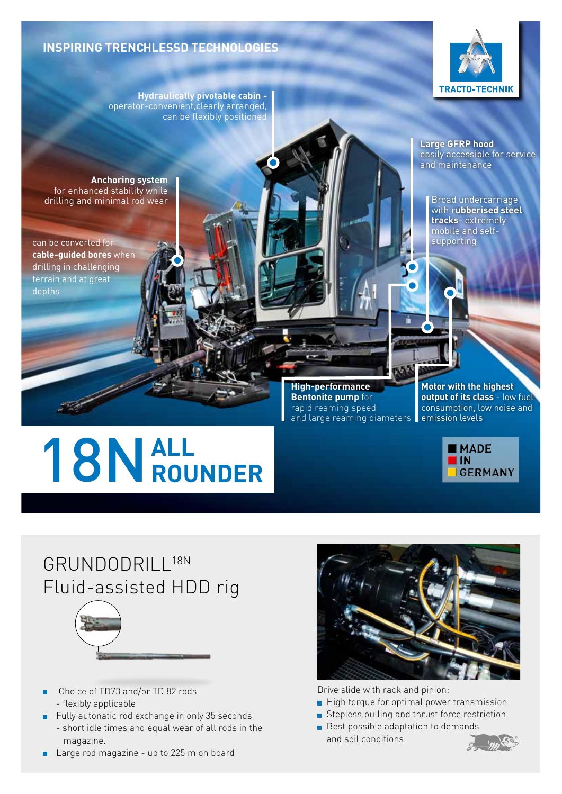## **INSPIRING TRENCHLESSD TECHNOLOGIES**

**Anchoring system**

for enhanced stability while drilling and minimal rod wear

can be converted for **cable-guided bores** when drilling in challenging terrain and at great

depths

**Hydraulically pivotable cabin**  operator-convenient,clearly arranged,

can be flexibly positioned



**Large GFRP hood** easily accessible for service and maintenance

Broad undercarriage with r**ubberised steel tracks**- extremely mobile and selfsupporting

# **ALL** 18N**ROUNDER**

and large reaming diameters **e**mission levels **High-performance Bentonite pump** for rapid reaming speed

**Motor with the highest output of its class** - low fuel consumption, low noise and



## GRUNDODRILL18N Fluid-assisted HDD rig



- Choice of TD73 and/or TD 82 rods - flexibly applicable
- Fully autonatic rod exchange in only 35 seconds - short idle times and equal wear of all rods in the magazine.
- Large rod magazine up to 225 m on board



Drive slide with rack and pinion:

- High torque for optimal power transmission
- Stepless pulling and thrust force restriction
- Best possible adaptation to demands and soil conditions.